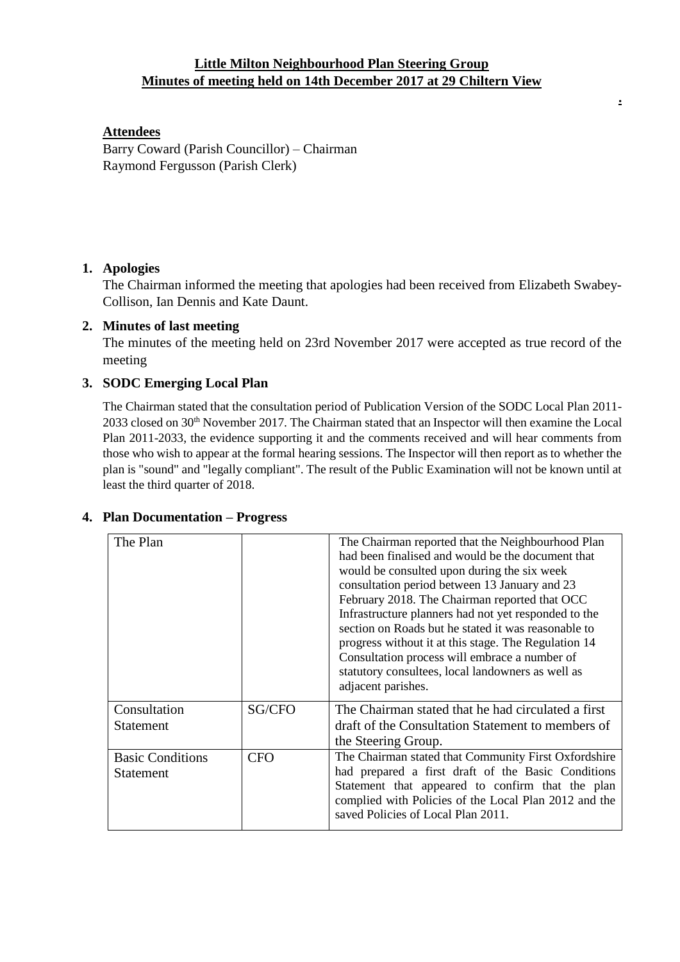# **Little Milton Neighbourhood Plan Steering Group Minutes of meeting held on 14th December 2017 at 29 Chiltern View**

**.**

### **Attendees**

Barry Coward (Parish Councillor) – Chairman Raymond Fergusson (Parish Clerk)

## **1. Apologies**

The Chairman informed the meeting that apologies had been received from Elizabeth Swabey-Collison, Ian Dennis and Kate Daunt.

## **2. Minutes of last meeting**

The minutes of the meeting held on 23rd November 2017 were accepted as true record of the meeting

## **3. SODC Emerging Local Plan**

The Chairman stated that the consultation period of Publication Version of the SODC Local Plan 2011- 2033 closed on 30<sup>th</sup> November 2017. The Chairman stated that an Inspector will then examine the Local Plan 2011-2033, the evidence supporting it and the comments received and will hear comments from those who wish to appear at the formal hearing sessions. The Inspector will then report as to whether the plan is "sound" and "legally compliant". The result of the Public Examination will not be known until at least the third quarter of 2018.

| The Plan                                    |            | The Chairman reported that the Neighbourhood Plan<br>had been finalised and would be the document that<br>would be consulted upon during the six week<br>consultation period between 13 January and 23<br>February 2018. The Chairman reported that OCC<br>Infrastructure planners had not yet responded to the<br>section on Roads but he stated it was reasonable to<br>progress without it at this stage. The Regulation 14<br>Consultation process will embrace a number of<br>statutory consultees, local landowners as well as<br>adjacent parishes. |
|---------------------------------------------|------------|------------------------------------------------------------------------------------------------------------------------------------------------------------------------------------------------------------------------------------------------------------------------------------------------------------------------------------------------------------------------------------------------------------------------------------------------------------------------------------------------------------------------------------------------------------|
| Consultation<br><b>Statement</b>            | SG/CFO     | The Chairman stated that he had circulated a first<br>draft of the Consultation Statement to members of<br>the Steering Group.                                                                                                                                                                                                                                                                                                                                                                                                                             |
| <b>Basic Conditions</b><br><b>Statement</b> | <b>CFO</b> | The Chairman stated that Community First Oxfordshire<br>had prepared a first draft of the Basic Conditions<br>Statement that appeared to confirm that the plan<br>complied with Policies of the Local Plan 2012 and the<br>saved Policies of Local Plan 2011.                                                                                                                                                                                                                                                                                              |

#### **4. Plan Documentation – Progress**